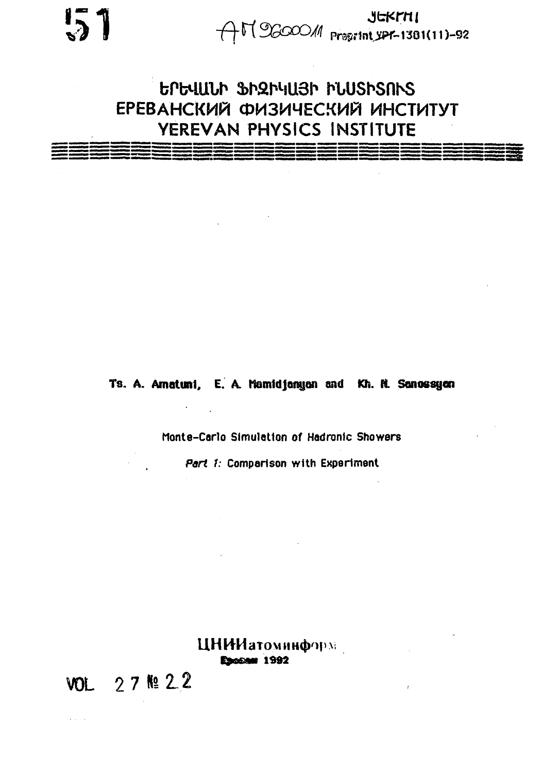$JERTH1$ <br> $AT06000M$   $Pres1H1381(11)-92$ 

GPG4ULP SPRF4U3P FLUSPSNS ЕРЕВАНСКИЙ ФИЗИЧЕСКИЙ ИНСТИТУТ YEREVAN PHYSICS INSTITUTE

Ts. A. Amatuni, E. A. Mamidjangan and Kh. R. Sanossyan

 $\epsilon = \frac{1}{2}$ 

Monte-Carlo Simulation of Hadronic Showers

Part 1: Comparison with Experiment

ЦНИИатоминформ Escoan 1992

VOL 27 № 22

 $\alpha$  ,  $\beta$  ,  $\beta$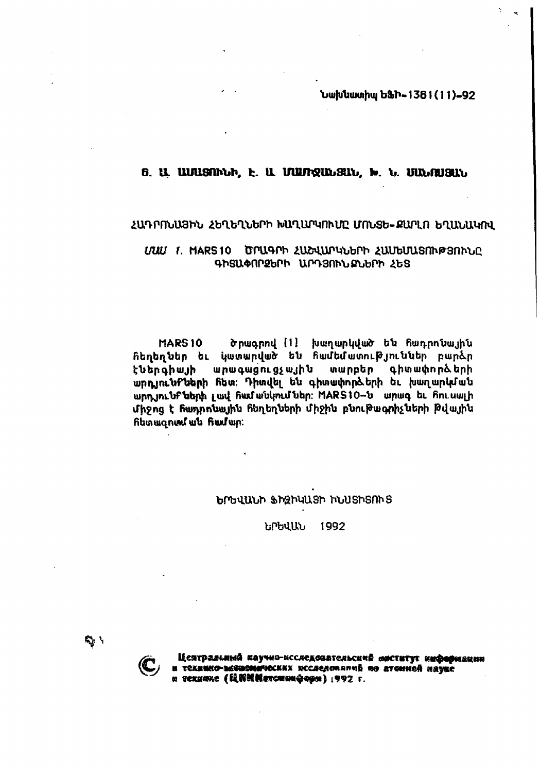Նախնատիպ ԵՖԻ-1381(11)-92

# 6. U. UUUSANLA, E. U. UUUTQULGUL, W. L. UULAUSUL

#### ՀԱԴՐՈՆԱՅԻՆ ՀԵՂԵՂՆԵՐԻ ԽԱՂԱՐԿՈՒՄԸ ՄՈՆՏԵ-ՔԱՐԼՈ ԵՂԱՆԱԿՈՎ

# UUU 1. MARS 10 DMU4Ph ՀԱՇՎԱՐԿՆԵՐԻ ՀԱՄԵՍԱՏՈՒԹՅՈՒՆԸ ԳԻՏԱՓՈՐՁԵՐԻ ԱՐԴՅՈՒՆՔՆԵՐԻ ՀԵՏ

**MARS10** ծրագրով [1] խաղարկված են հադրոնային **հեղեղներ եւ կատարված են համեմատություններ բար**ձր արագացուցչային տարբեր գիտափորձերի ԷՆերգիայի արդյունքների հետ։ Դիտվել են գիտափործերի եւ խաղարկման wnn in the tab ph put has withing the MARS10-t wn up to him with միջոց է ճաղոռնային ճեղեղների միջին բնութագրիչների թվային fibungned wu find wp:

#### ԵՐԵՎԱՆԻ ՖԻԶԻԿԱՑԻ ԻՆՍՏԻՏՈՒՑ

ԵՐԵՎԱՆ 1992

ry 1



Цеятральный каучно-ксследовательский миститут ниформации и технико-экономических исследований по атомной наукс a rexuane (QRNMarcmungopa) 1992 r.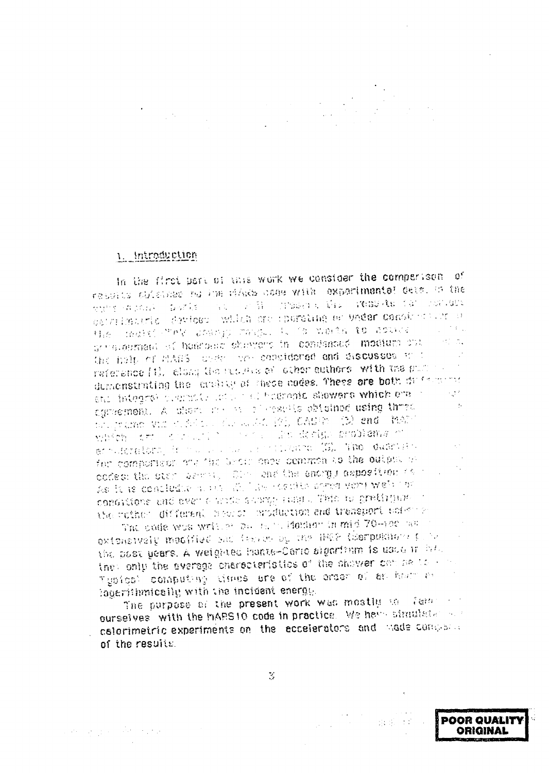#### 1 Introduction

In the first part of this work we consider the compartson of results obtained ha ine minds hous with axperimental dete. In the white distribution from the control of the complete of the second constants cattrimatric devices which are sporating or under constant are a the matri-"ev change range. It is weeks to actual. generalizació el hadroeia shamans in condensad modiune cur the holp of HARS, under the considered and discusses that reference [1]. closs the recurse of other authors, with the publicdurachstrating the coulday of these codes. These ore both duration in etic integre premier and the begronic showers which ere in  $\sim 10^{-4}$ agmemont. A diom me is allegable obtained using three  $\sim$  10  $\mu$ the promotion of the collection of the CAMED (12) and there vibren art district in the same decision crobiams of stratoralora, in massa associativano (B). The duarism for comporteds and the Grain abov common to the output of codes: the star benefit, Olde and the energy asposition for As it is continuate a set the law results appeared wets that conditions and even a write showng rung. This is grating on a the voine: different nearer emplacion and transport actempt

The pode was written by their Hommon in mid 70-100 has the oxtensively modified and feature by the HEP (Serpushers forthe post years. A weighted hants-Carlo signifilm is used in the they only the everage energeteristics of the shower can be to some Typical computing times are of the order of an hour ever logerithmically with the incident energy.

The purpose of the present work was mostly to family in ourselves with the MARS10 code in practice. We have simulated and calorimetric experiments on the accelerators and made compared of the results.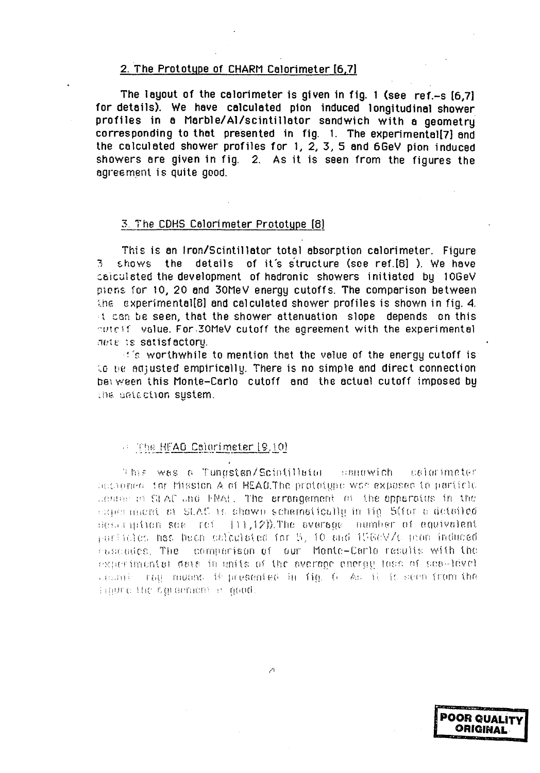#### 2. The Prototype of CHARM Calorimeter [6.7]

The layout of the calorimeter is given in fig. 1 (see ref.-s [6.7] for details). We have calculated pion induced longitudinal shower profiles in a Marble/Al/scintillator sandwich with a geometry corresponding to that presented in fig. 1. The experimental[7] and the calculated shower profiles for 1, 2, 3, 5 and 6GeV pion induced showers are given in fig. 2. As it is seen from the figures the agreement is quite good.

#### 3. The CDHS Calorimeter Prototype [8]

This is an Iron/Scintillator total absorption calorimeter. Figure shows the details of it's structure (see ref.[8]). We have पु । calculated the development of hadronic showers initiated by 10GeV piens for 10, 20 and 30MeV energy cutoffs. The comparison between the experimental[8] and calculated shower profiles is shown in fig. 4. it can be seen, that the shower attenuation slope depends on this cuteff value. For 30MeV cutoff the agreement with the experimental dete is satisfactoru.

 $\mathbb{R}^n$ 's worthwhile to mention that the value of the energy cutoff is to be adjusted empirically. There is no simple and direct connection between this Monte-Carlo cutoff and the actual cutoff imposed by the detection system.

#### $\approx$  The HEAD Calorimeter  $[9, 10]$

This was a Tungsten/Scintillator sandwich calorimater decrement for Mission A of HEAO.The proteigne was exposed to particle centre of SLAC and FRAL. The errongement of the opporatus in the experiment of SLAC is shown schemotically in tig. 5(for a detailed)  $t$  description see ref.  $(11,12)$ ). The overage number of equivalent  $\gamma$ articles has been calculated for 5, 10 and 1960V/c pion induced cascades. The comparison of our Monte-Carlo results with the experimental data in units of the average energy loss of seawlevel  $\alpha$ cani roy muons if presented in fig. 6 Ac ii it seen from the impure the squadment is good.

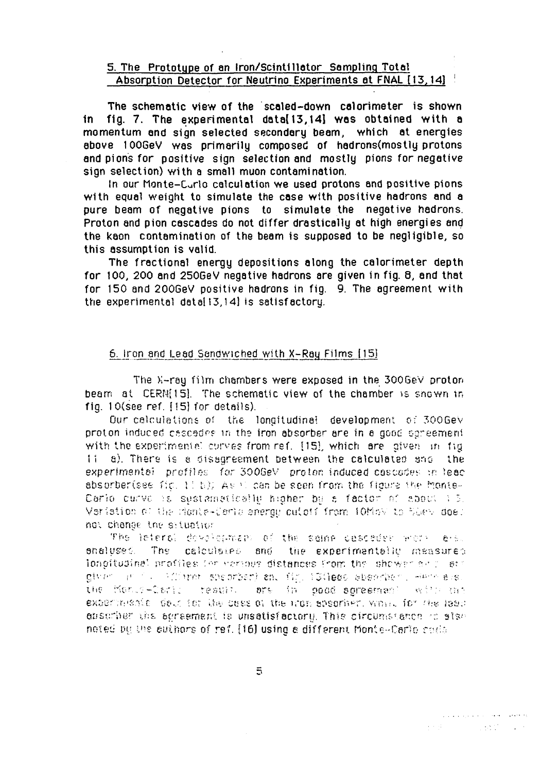# 5. The Prototype of an Iron/Scintillator Sampling Total Absorption Detector for Neutrino Experiments at FNAL [13, 14]

The schematic view of the scaled-down calorimeter is shown fig. 7. The experimental data[13,14] was obtained with a in. momentum and sign selected secondary beam, which at energies above 100GeV was primarily composed of hadrons(mostly protons and pions for positive sign selection and mostly pions for negative sign selection) with a small muon contamination.

In our Monte-Curlo calculation we used protons and positive pions with equal weight to simulate the case with positive hadrons and a pure beam of negative pions to simulate the negative hadrons. Proton and pion cascades do not differ drastically at high energies and the kaon contamination of the beam is supposed to be negligible, so this assumption is valid.

The fractional energy depositions along the calorimeter depth for 100, 200 and 250GeV negative hadrons are given in fig. 8, and that for 150 and 2006eV positive hadrons in fig. 9. The agreement with the experimental data[13,14] is satisfactory.

# 6. Iron and Lead Sandwiched with X-Ray Films [15]

The X-ray film chambers were exposed in the 300GeV proton beam at CERN(15). The schematic view of the chamber is shown in fig. 10(see ref. [15] for details).

Our calculations of the longitudinal development of 300GeV proton induced cascades in the iron absorber are in a good egreement with the experimentel curves from ref. [15], which are given in fig. a). There is a disagreement between the calculated and the  $11$ experimental profiles for 300GeV proton induced cascades in lead absorber(see fig. 11 b)). As it can be seen from the figure the Monte-Carlo curve is sustainationly higher be a factor of about i.3. Veriation of the monte-Certo energy outoff from 10MbV to SGeV does not change the situation

The leteral development of the sense cesosder work are. The calculated and the experimentally measured analuses. longitudinel profiles for various distances from the shower self at: given and published spearber) end fig. 13(lego absorber), Henriels, the Monis-Carls result, are in good soresman? with the experiments dout for the case of the mon apsorber, when for the lead dustriber the agreement is unsatisfactory. This circumstance to sise noted by the suthors of ref. [16] using a different Monte-Carlo code

 $\overline{5}$ 

 $\mathcal{L}^{\mathcal{A}}(\mathcal{D}^{\mathcal{A}}(\mathcal{D}^{\mathcal{A}}(\mathcal{D}^{\mathcal{A}}(\mathcal{D}^{\mathcal{A}}(\mathcal{D}^{\mathcal{A}}(\mathcal{D}^{\mathcal{A}}(\mathcal{D}^{\mathcal{A}}(\mathcal{D}^{\mathcal{A}}(\mathcal{D}^{\mathcal{A}}(\mathcal{D}^{\mathcal{A}}(\mathcal{D}^{\mathcal{A}}(\mathcal{D}^{\mathcal{A}}(\mathcal{D}^{\mathcal{A}}(\mathcal{D}^{\mathcal{A}}(\mathcal{D}^{\mathcal{A}}(\mathcal{D}^{\mathcal{A$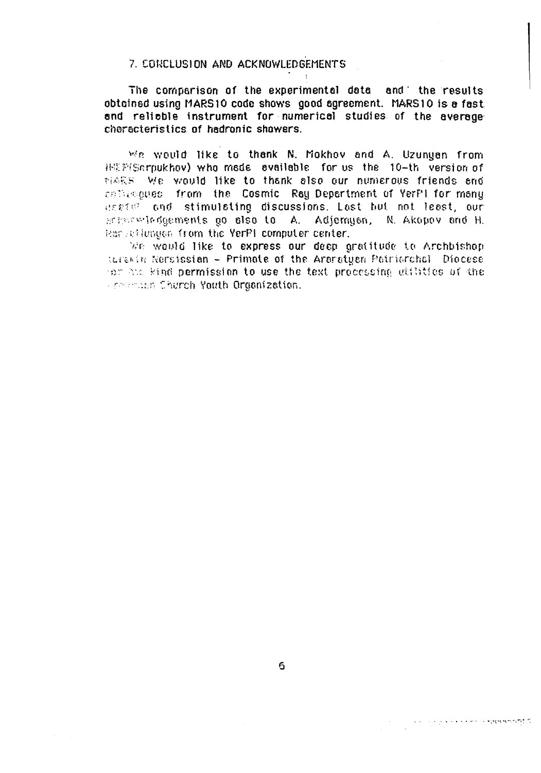# 7. CONCLUSION AND ACKNOWLEDGEMENTS

The comparison of the experimental data and the results obtained using MARS10 code shows good agreement. MARS10 is a fast and reliable instrument for numerical studies of the average characteristics of hadronic shawers.

We would like to thank N. Mokhov and A. Uzunuan from 排影到Serpukhov) who mede evailable for us the 10-th version of MARS. We would like to thank also our numerous friends and collegeuss from the Cosmic Ray Department of YerPi for many useful and stimulating discussions. Last but not least, our acharacterigements go also to A. Adjemyon, N. Akopov and H. Remetiunaen from the YerPI computer center.

We would like to express our deep gratitude to Archbishop. terewin Nersissian - Primate of the Araratyan Patriorchel Diocese for the kind permission to use the text processing utilities of the **From the Church Youth Organization.**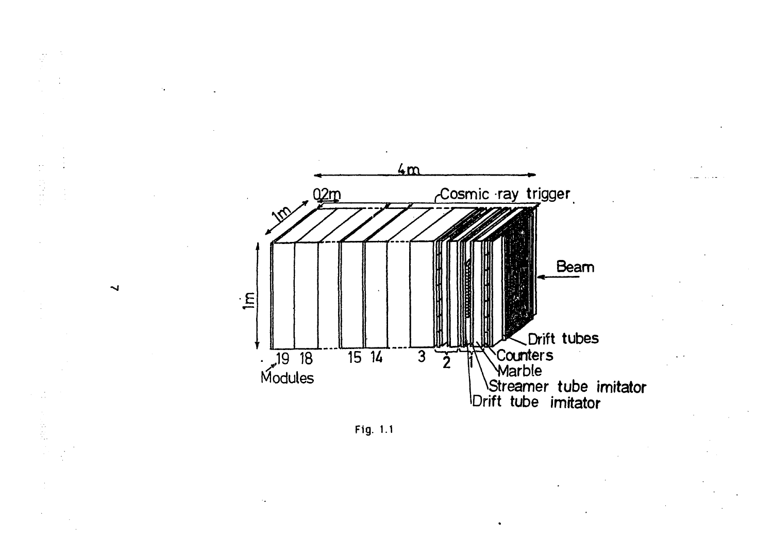



Ñ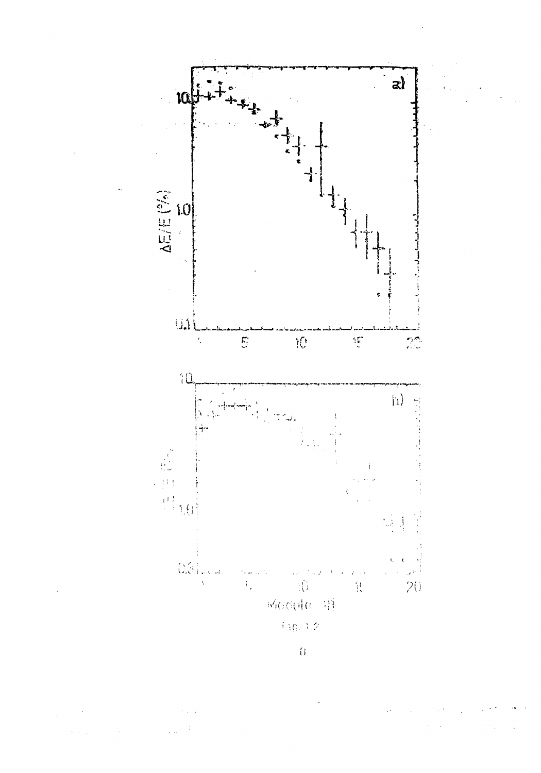

 $\overline{\theta}$ 

 $\bar{\gamma}$  $\mathcal{L}_{\rm{max}}$  $\mathcal{L}^{\text{c}}_{\text{c}}$  ,  $\mathcal{L}^{\text{c}}_{\text{c}}$  ,  $\mathcal{L}^{\text{c}}_{\text{c}}$  ,  $\mathcal{L}^{\text{c}}_{\text{c}}$  ,  $\lambda$  and  $\lambda_{\rm max}$  $\frac{1}{2}$  .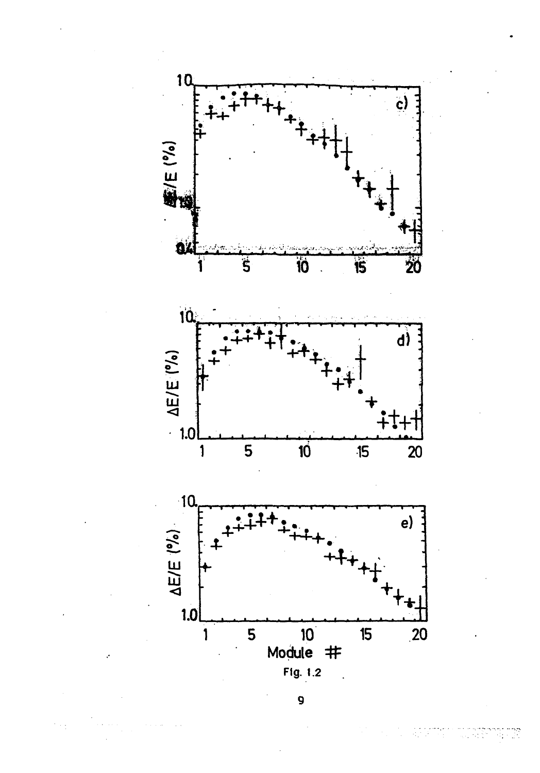

9

 $\mathcal{O}(\sqrt{N})$ 

55 M.Y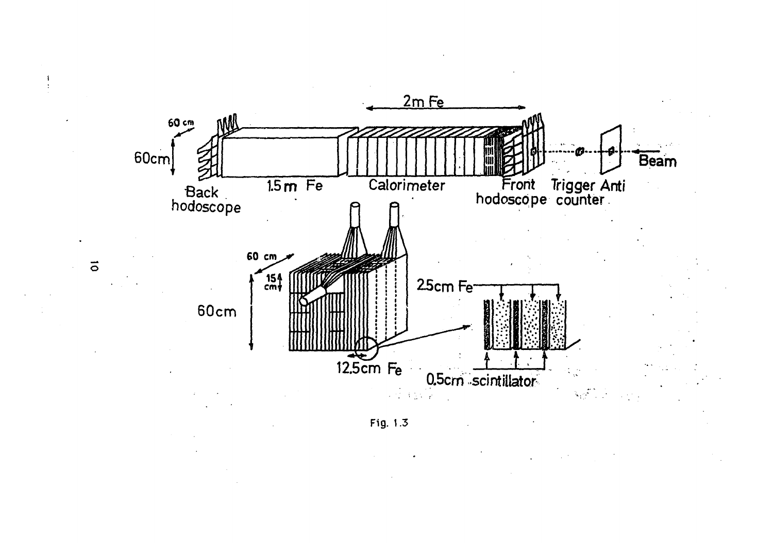



 $\vec{\circ}$ 

 $\frac{1}{2}$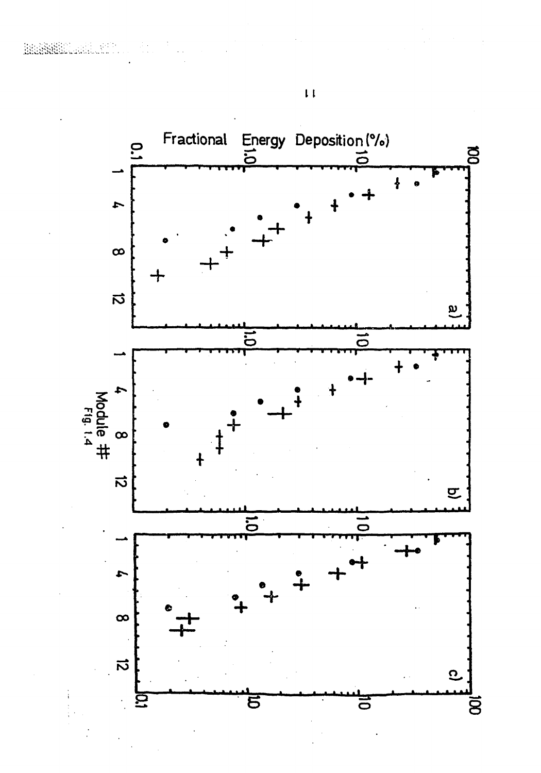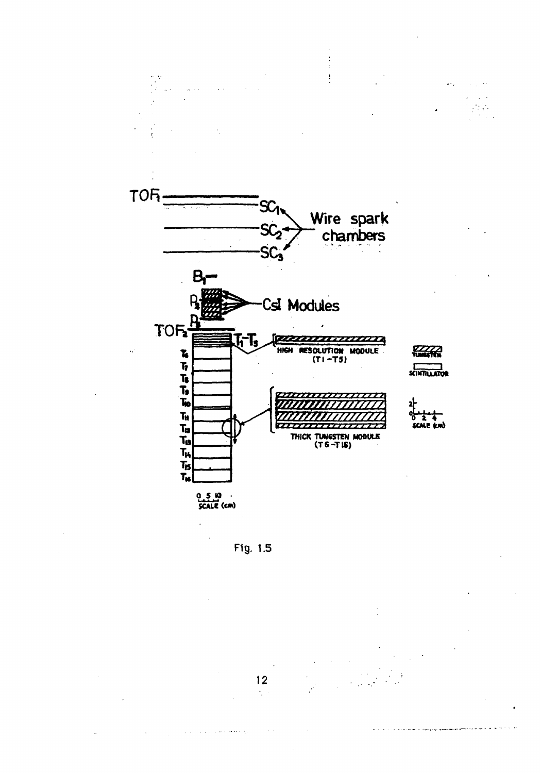

Fig. 1.5

 $12$  $\frac{1}{2}$ 

 $\sim$   $\sim$ 

والمستحدث والمرادي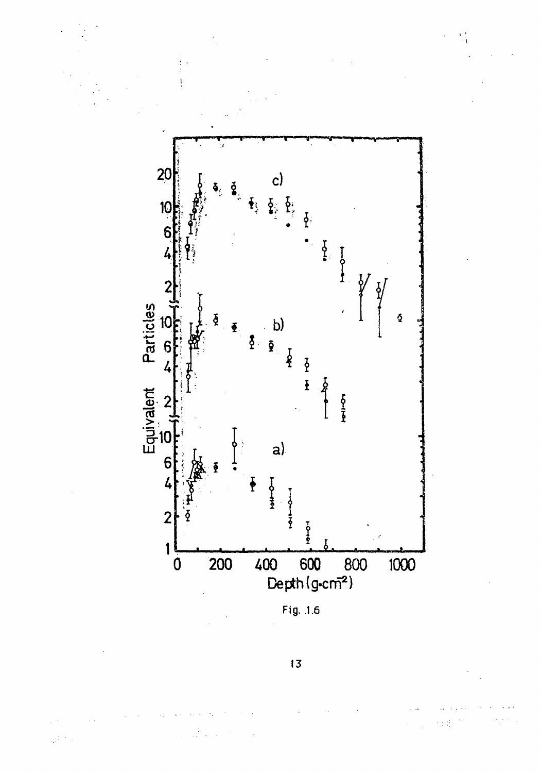

Fig. 1.6

13

 $\mathbb{R}^3$  $\sim$   $\frac{1}{2}$  ,  $\frac{1}{2}$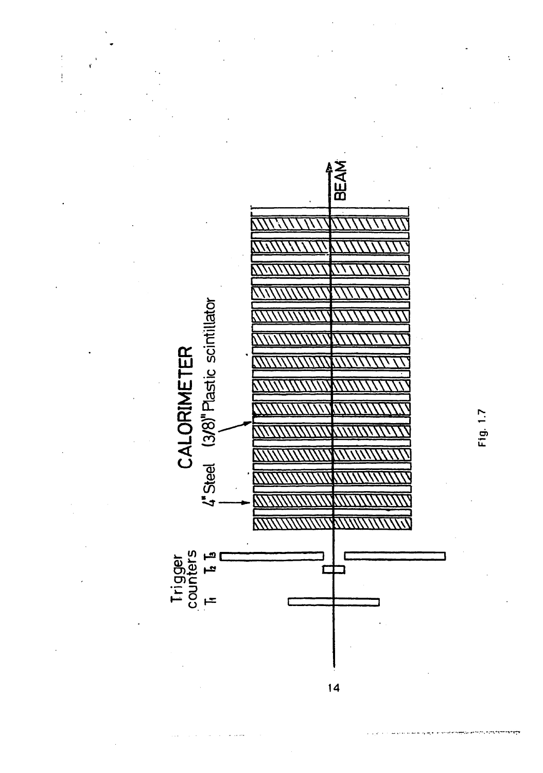

Fig. 1.7

 $14$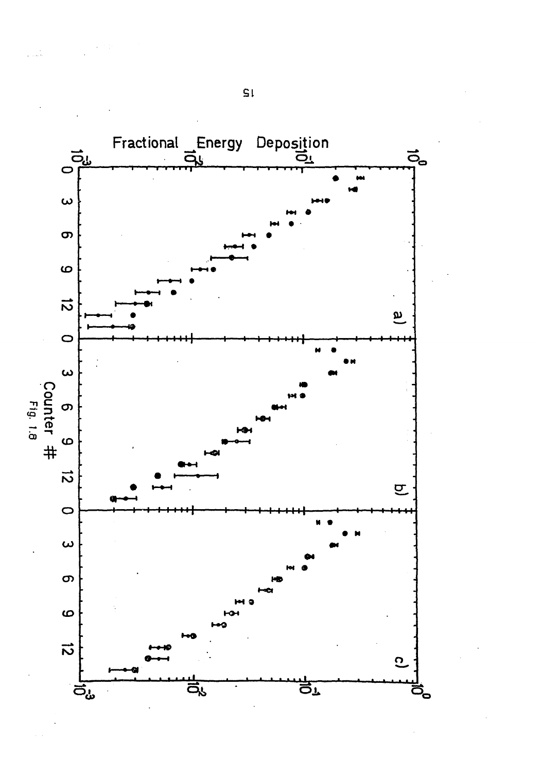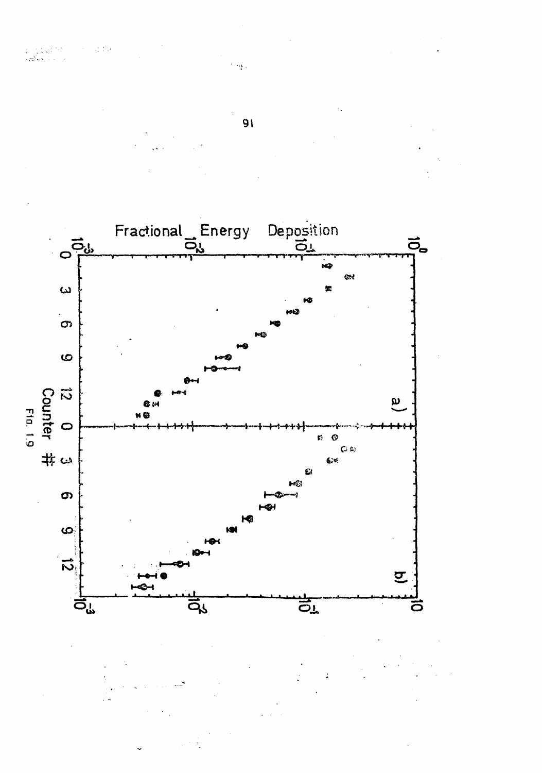

 $\sim$   $\sim$ 

et anne

an Comp

Persian dia

l,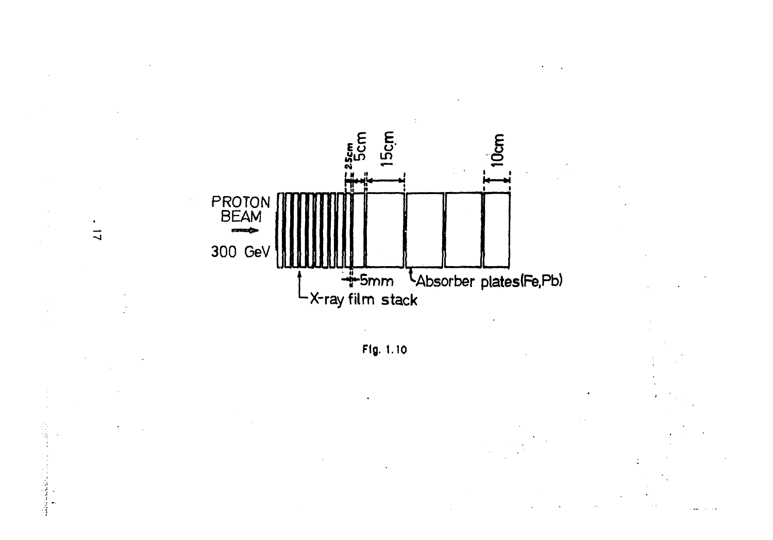

 $\vec{u}$ 

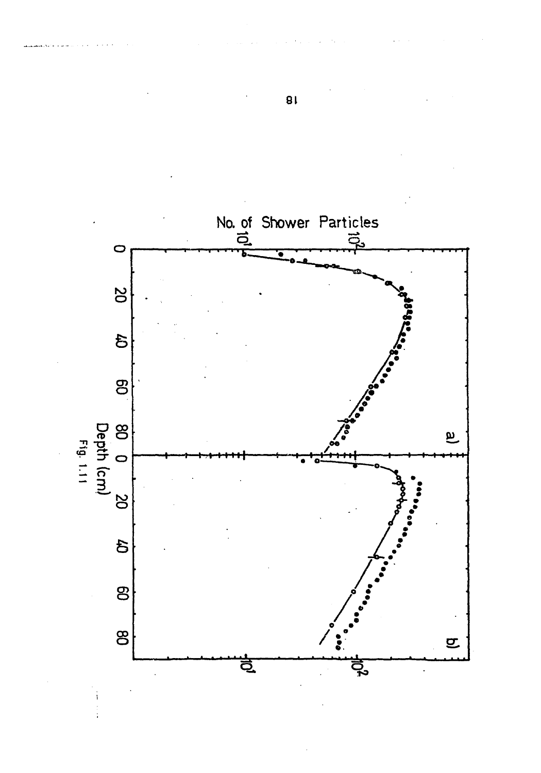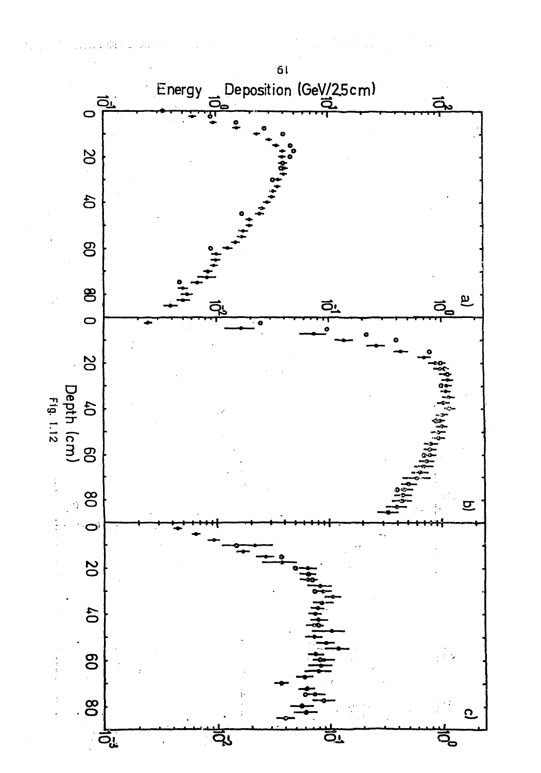

 $\mathcal{O}(\mathcal{O}_\mathcal{O})\to\mathcal{O}_\mathcal{O}$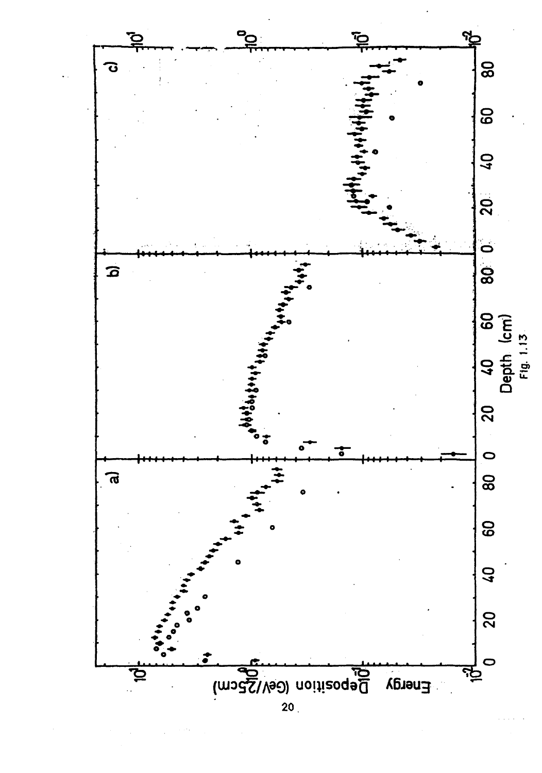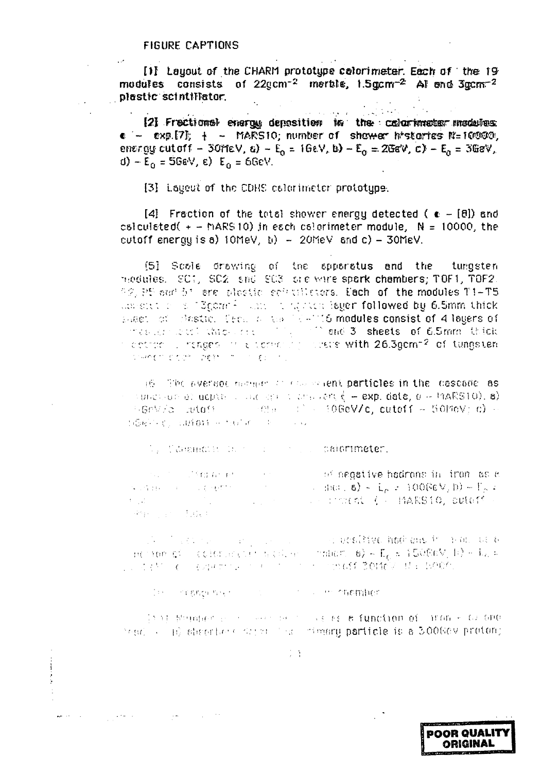[1] Layout of the CHARM prototype celorimeter. Each of the 19 modules consists of 22gcm<sup>-2</sup> merble, 1.5gcm<sup>-2</sup> Al end 3gcm<sup>-2</sup> plastic scintillator.  $\mathcal{L}^{\pm}$ 

 $\mathcal{L}^{\text{max}}_{\text{max}}$  $\mathcal{L}(\mathcal{L})$  , we have  $\mathcal{L}(\mathcal{L})$  and [2] Frectional evergy deposition in the columnater madules  $\bullet$  -  $\bullet$ xp.[7];  $\ddagger$  - MARS10; number of shower histories N=10000; energy cutoff – 30ffeV,  $\epsilon$ ) –  $E_0 = 16eV$ , b) –  $E_0 = 20$ sV, c) –  $E_0 = 30$ sV, d)  $-E_0 = 56$ eV, e)  $E_0 = 66$ eV.

[3] Layout of the CDHS calorimeter prototype.

[4] Fraction of the total shower energy detected ( $\epsilon = [8]$ ) and csiculated( $+ -$  MARS 10) in each csicrimeter module,  $N = 10000$ , the cutoff energy is a)  $10$ MeV, b)  $-20$ MeV and c)  $-30$ MeV.

[5] Scole drawing of the apparatus and the tungsten modules. SC1, SC2 sh6 SC3 src wire spork chambers; TOF1, TOF2. 92, PS out 51 are pleatic actualistors. Each of the modules T1-T5 constitution of Egeratic continuing receibeger followed by 6.5mm thick aget of Bestic. Decime the 12-115 modules consist of 4 legers of these consistions of modetic intages in electronic closers with 26.3gcm<sup>-2</sup> of tungsten somethic court international courts

16 The system manufacturers and the constructions of the cascade as subdivide at adjuste of the derivative of  $\xi$  = exp. data,  $\sigma$  = mARS10), a)  $\sim$ GeV/s what  $\sim$  emerging the 10GeV/c, cutaff  $\sim$  50MeV; c)  $\sim$ MERRING WHOM HIMMAN THE TIME

We Community that I are the communitien.

 $\begin{array}{lll} \text{where}&\text{if}(\alpha,\beta)=(\beta,\gamma) & \text{if}(\alpha,\beta)=(\gamma,\gamma) & \text{if}(\alpha,\beta)=\text{if}(\alpha,\beta)=\text{if}(\alpha,\beta)=\text{if}(\alpha,\beta)=\text{if}(\alpha,\beta)=\text{if}(\alpha,\beta)=\text{if}(\alpha,\beta)=\text{if}(\alpha,\beta)=\text{if}(\alpha,\beta)=\text{if}(\alpha,\beta)=\text{if}(\alpha,\beta)=\text{if}(\alpha,\beta)=\text{if}(\alpha,\beta)=\text{if}(\alpha,\beta)=\text{if}(\alpha,\beta)=\text{if}(\alpha,\beta)=\text{if}(\alpha,\beta)=\text{if}$ in the mediation of the front and the mediation of the mediation of the mediation of the mediation of the medi  $\label{eq:3.1} \mathbf{1}_{\mathcal{M}}=\mathbf{1}_{\mathcal{M}}\mathbf{1}_{\mathcal{M}}\mathbf{1}_{\mathcal{M}}\mathbf{1}_{\mathcal{M}}\mathbf{1}_{\mathcal{M}}\mathbf{1}_{\mathcal{M}}$ Part is the

 $\alpha$  activities in the contract of the contract of  $\Gamma_0$  is  $\Gamma_0$  in  $\beta$  and  $\alpha$  and  $\alpha$  is a contract of the contract of  $\alpha$  and  $\beta$  is  $\Gamma_0$  is  $\beta$  is  $\beta$  defined in  $\alpha$  is a contract of the contract of the c of a besidive hockens in a manuele LI SAM LE LAGGER LE PLAN DE L'IMBOT BOTÉVILLE BODO.

case in creating the company of the control of the charmher.

 $\mathcal{O}(\mathcal{O}(\log n))$  . The second contribution of the second contribution of the second contribution of  $\mathcal{O}(\log n)$ 

is it summer a received as the advanction of from a calcule read ( ) (b) algorithmentary results in the management particle is a 300669 proton;

 $\mathbb{R}^n$  ).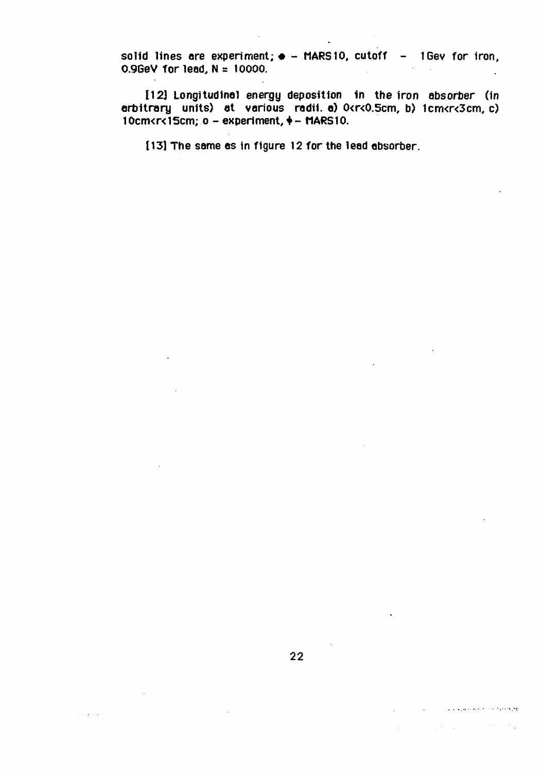solid lines are experiment;  $\bullet$  - MARS10, cutoff - 1Gey for iron, **0.9GeV for lead, N= 10000. .**

**112] Longitudinal energy deposition in the iron absorber (in arbitrary units) at various radii, а) 0<r<0.5cm, b) 1cm<r<3cm, c) 10cm<r<15cm; о - experiment,+ - MARS 10.**

**[13] The same as in figure 12 for the lead absorber.**

 $\alpha$  is a set of  $\alpha$ 

 $\chi^2$  , and the second constraint of the second constraint  $\chi^2$ 

 $\mathcal{A}^{\mathcal{A}}_{\mathcal{A}}$  and  $\mathcal{A}^{\mathcal{A}}_{\mathcal{A}}$  and  $\mathcal{A}^{\mathcal{A}}_{\mathcal{A}}$  and  $\mathcal{A}^{\mathcal{A}}_{\mathcal{A}}$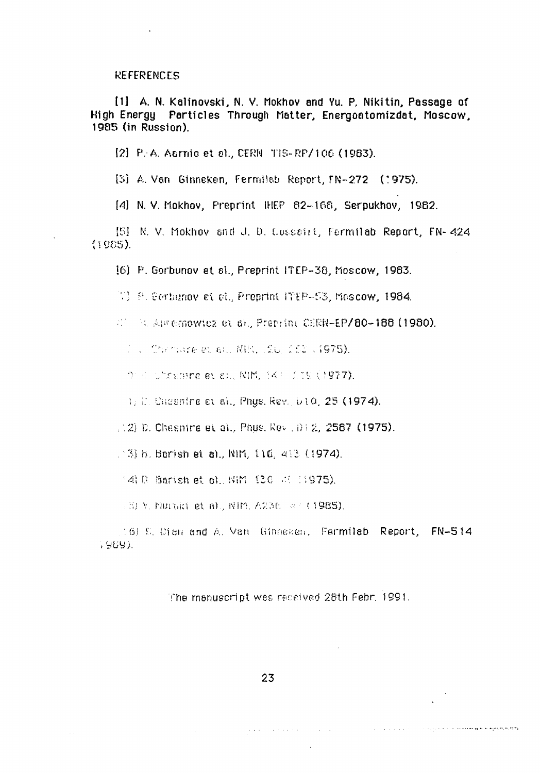#### **REFERENCES**

[1] A. N. Kalinovski, N. V. Mokhov and Yu. P. Nikitin, Passage of High Energy Particles Through Matter, Energoatomizdat, Moscow, 1985 (in Russion).

[2] P.A. Asrnio et al., CERN TIS-RP/106 (1983).

[3] A. Van Ginneken, Fermilab Report, FN-272 (1975).

[4] N. V. Mokhov, Preprint IHEP 82-168, Serpukhov, 1982.

[5] N. V. Mokhov and J. D. Cosseiri, Fermilab Report, FN- 424  $(1985)$ .

[6] P. Gorbunov et sl., Preprint ITEP-38, Moscow, 1983.

W. F. Cortamov et el., Preprint IMEP-53, Mascow, 1984.

 $\mathbb{Z}^{\ell}$  - R. Automowicz or a). Preprint CERN-EP/80-188 (1980).

「 、 Chandere et al. 関比、原じ (そこ 、(975).

On Conditionships at all, NIM, 147 175 (1977).

1) D. Cheenine et al., Phys. Rev. 010, 25 (1974).

 $(12)$  D. Chesmire et al., Phus, Rev.  $(012)$ , 2587 (1975).

 $\pm 3$  b. Berish et al., NIM, 116, 413 (1974).

14: 0 Barish et 6), NIM 130 31 (1975).

(3) Y. MULGRI et 6), NIM, A236 2141985).

(6) S. Cien and A. Van Ginneken, Fermilab Report, FN-514 1969).

The manuscript was received 28th Febr. 1991.

a da a com<mark>menta de c</mark>omposición de composición de la composición el proporciones <del>de la proporció</del>n

 $\sim 10^{-11}$ 

 $\sim$  .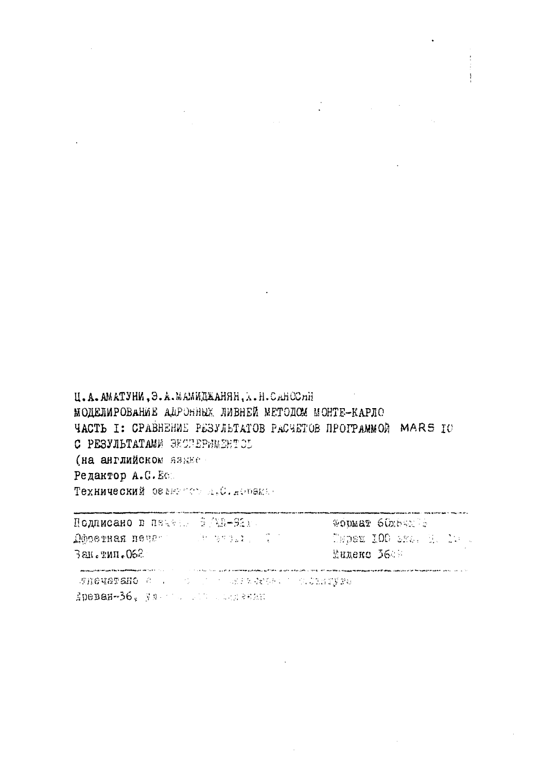Ц.А.АМАТУНИ, Э.А.МАМИДЖАНЯН, Х.Н.САНОСЛИ МОДЕЛИРОВАНИЕ АЛРОННЫХ ЛИВНЕЙ МЕТОДСМ МОНТЕ-КАРЛО **ЧАСТЬ I: СРАВНЕНИЕ РЕЗУЛЕТАТОВ РАСЧЕТОВ ПРОГРАММОЙ MARS IO** С РЕЗУЛЬТАТАМИ ЭКСПЕРИМЕНТОБ (на английском языке Редактор А.С.Е. Технический осветств д.С. дорека.

**Подписано в перед. В/MR-92x. GODMAY 60x84x75 Mosevers never and the present of** Tepex 100 bra. H. 10 L Зан. тип. 062 Muneue 3648  $\label{thm:main}$  where<br>the primary finds that the fit are negligible than the first  $t=1,\ldots,$ .<br>I 1986 se romana mentrataman nyaéta di vétas, chatalogo vitar ma napoletica deleti indexity (version). MINGUATANO CON CONTRACTOR CONSIGNATION

Spenan-36, yn american and senan-